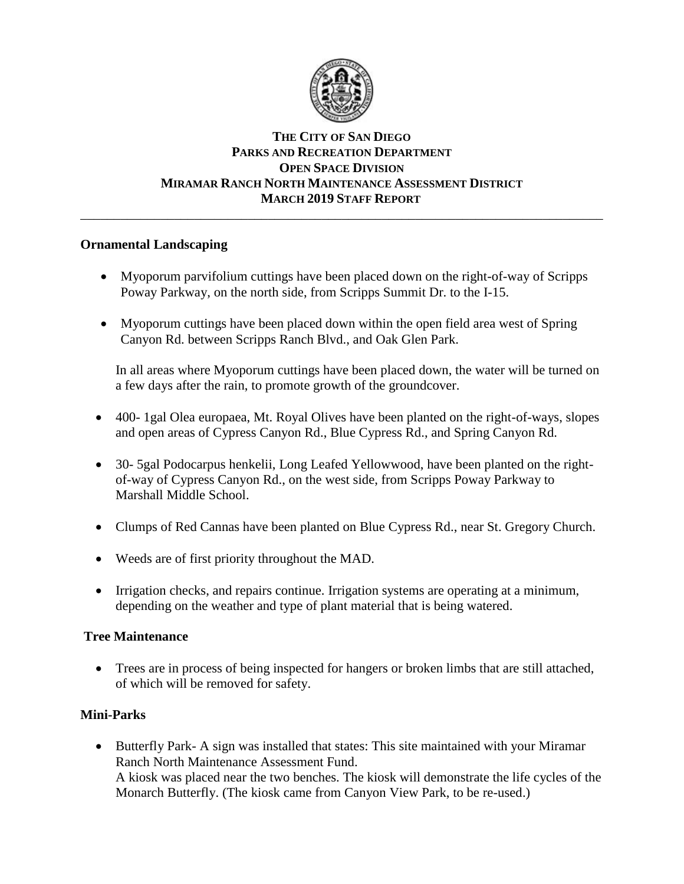

# **THE CITY OF SAN DIEGO PARKS AND RECREATION DEPARTMENT OPEN SPACE DIVISION MIRAMAR RANCH NORTH MAINTENANCE ASSESSMENT DISTRICT MARCH 2019 STAFF REPORT**

\_\_\_\_\_\_\_\_\_\_\_\_\_\_\_\_\_\_\_\_\_\_\_\_\_\_\_\_\_\_\_\_\_\_\_\_\_\_\_\_\_\_\_\_\_\_\_\_\_\_\_\_\_\_\_\_\_\_\_\_\_\_\_\_\_\_\_\_\_\_\_\_\_\_\_\_\_\_

## **Ornamental Landscaping**

- Myoporum parvifolium cuttings have been placed down on the right-of-way of Scripps Poway Parkway, on the north side, from Scripps Summit Dr. to the I-15.
- Myoporum cuttings have been placed down within the open field area west of Spring Canyon Rd. between Scripps Ranch Blvd., and Oak Glen Park.

In all areas where Myoporum cuttings have been placed down, the water will be turned on a few days after the rain, to promote growth of the groundcover.

- 400- 1gal Olea europaea, Mt. Royal Olives have been planted on the right-of-ways, slopes and open areas of Cypress Canyon Rd., Blue Cypress Rd., and Spring Canyon Rd.
- 30- 5gal Podocarpus henkelii, Long Leafed Yellowwood, have been planted on the rightof-way of Cypress Canyon Rd., on the west side, from Scripps Poway Parkway to Marshall Middle School.
- Clumps of Red Cannas have been planted on Blue Cypress Rd., near St. Gregory Church.
- Weeds are of first priority throughout the MAD.
- Irrigation checks, and repairs continue. Irrigation systems are operating at a minimum, depending on the weather and type of plant material that is being watered.

#### **Tree Maintenance**

• Trees are in process of being inspected for hangers or broken limbs that are still attached, of which will be removed for safety.

# **Mini-Parks**

• Butterfly Park- A sign was installed that states: This site maintained with your Miramar Ranch North Maintenance Assessment Fund. A kiosk was placed near the two benches. The kiosk will demonstrate the life cycles of the Monarch Butterfly. (The kiosk came from Canyon View Park, to be re-used.)